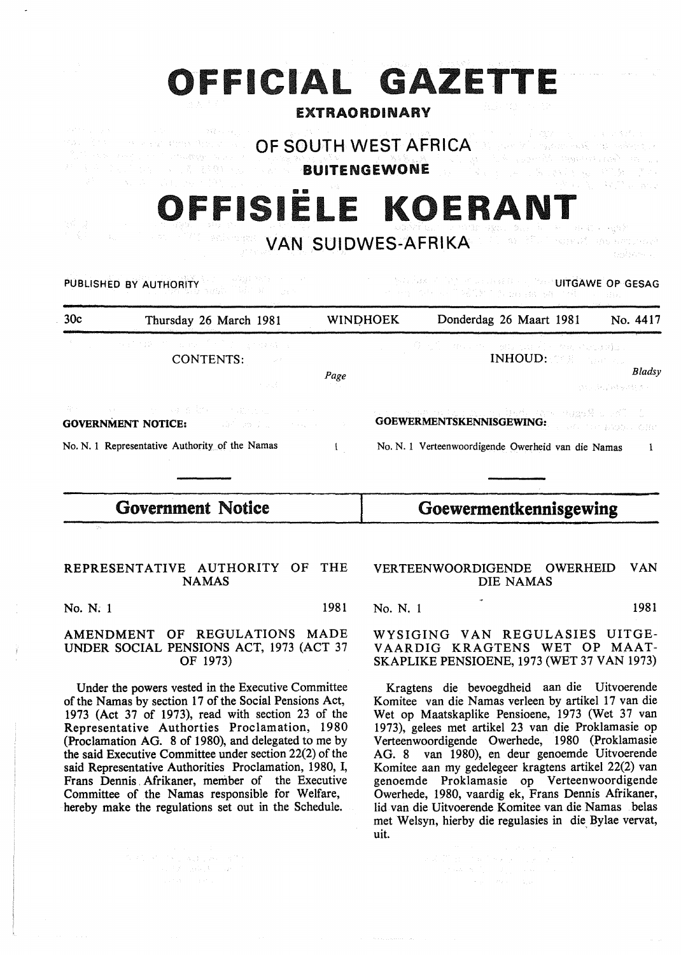|                                                                                                                               | <b>EXTRAORDINARY</b> |                 | OFFICIAL GAZETTE<br>我国のほう 中国学                                                                                                                                                    |                       |          |
|-------------------------------------------------------------------------------------------------------------------------------|----------------------|-----------------|----------------------------------------------------------------------------------------------------------------------------------------------------------------------------------|-----------------------|----------|
| The SAR President<br>(1) South All Marks (Natalysis and 1)<br>Consulty Save a<br><b>BUITENGEWONE</b><br><b>WEDNET PRODUCT</b> |                      |                 | it is a series of stage and provide a statute<br>OF SOUTH WEST AFRICA A strategy with the second strategy<br>an Garanth agus Managara<br>医心室 计多元线路 视觉 的复数人名<br>OFFISIELE KOERANT | 17월 30일 - SKYT 2012.2 |          |
| <b>W</b> ACT WARTER<br>PUBLISHED BY AUTHORITY                                                                                 |                      |                 | <b>SOLDING MANUSUIDWES-AFRIKA</b> A 2014 STATES SERVER SERVERS<br><b>CONTRACT ON SECTION CONTROLLED TO SERVE OP GESAG</b><br>计中性文件 经可能的经可保证的 磷化酶 计维护 计温度                         |                       | 行政のたい。   |
| 30c<br>Thursday 26 March 1981                                                                                                 |                      | <b>WINDHOEK</b> | Donderdag 26 Maart 1981                                                                                                                                                          |                       | No. 4417 |
| in a Shi (2001) shi ne shi ne Shi ne ne ye kuma na<br>CONTENTS:<br>医学员                                                        | Page                 |                 | 今回的 中心 やく 硬け いほんど 外に いいのばい<br><b>INHOUD: 2008</b> March 200                                                                                                                      | (2015) 科学科技师科学会       | Bladsy   |
| 发生的 网络小小小小小小 的复数经济的 医电压电压<br><b>GOVERNMENT NOTICE:</b><br>and and the<br>No. N. 1 Representative Authority of the Namas       | $\mathbf{I}$         |                 | エストンはおけれきるように、ここはも他にはないとは違っ難しいが、こう<br><b>GOEWERMENTSKENNISGEWING:</b><br>No. N. 1 Verteenwoordigende Owerheid van die Namas                                                      |                       | -1       |
| <b>Government Notice</b>                                                                                                      |                      |                 | Goewermentkennisgewing                                                                                                                                                           |                       |          |

# REPRESENTATIVE AUTHORITY OF THE NAMAS

No. N. 1 1981

## AMENDMENT OF REGULATIONS MADE UNDER SOCIAL PENSIONS ACT, 1973 (ACT 37 OF 1973)

Under the powers vested in the Executive Committee of the Namas by section 17 of the Social Pensions Act, 1973 (Act 37 of 1973), read with section 23 of the Representative Authorties Proclamation, 19 80 (Proclamation AG. 8 of 1980), and delegated to me by the said Executive Committee under section 22(2) of the said Representative Authorities Proclamation, 1980, I, Frans Dennis . Afrikaner, member of the Executive Committee of the Namas responsible for Welfare, hereby make the regulations set out in the Schedule.

 $\begin{split} \mathcal{L}^{(2)}_{\text{max}} & \leq \mathcal{L}^{(2)}_{\text{max}} + \mathcal{L}^{(2)}_{\text{max}} + \mathcal{L}^{(2)}_{\text{max}} + \mathcal{L}^{(2)}_{\text{max}} \\ & \leq \mathcal{L}^{(2)}_{\text{max}} + \mathcal{L}^{(2)}_{\text{max}} + \mathcal{L}^{(2)}_{\text{max}} + \mathcal{L}^{(2)}_{\text{max}} \\ & \leq \mathcal{L}^{(2)}_{\text{max}} + \mathcal{L}^{(2)}_{\text{max}} + \mathcal{L}^{(2)}_{\text{max}} \\$ 

## VERTEENWOORDIGENDE OWERHEID VAN DIE NAMAS

No. N. 1 1981

WYSIGING VAN REGULASIES UITGE-VAARDIG KRAGTENS WET OP MAAT-SKAPLIKE PENSIOENE, 1973 (WET 37 VAN 1973)

Kragtens die bevoegdheid aan die Uitvoerende Komitee van die Namas verleen by artikel 17 van die Wet op Maatskaplike Pensioene, 1973 (Wet 37 van 1973), gelees met artikel 23 van die Proklamasie op V erteenwoordigende Owerhede, 1980 (Proklamasie AG. 8 van 1980), en deur genoemde Uitvoerende Komitee aan my gedelegeer kragtens artikel 22(2) van genoemde Proklamasie op Verteenwoordigende Owerhede, 1980, vaardig ek, Frans Dennis Afrikaner, lid van die Uitvoerende Komitee van die Namas belas met Welsyn, hierby die regulasies in die Bylae vervat, uit.

 $\label{eq:2.1} \begin{split} \mathcal{L}^2\left(\mathcal{H}\right)^2 &\left(\frac{1}{2}\right)^2\left(\frac{1}{2}\right)^2\left(\frac{1}{2}\right)^2\left(\frac{1}{2}\right)^2\left(\frac{1}{2}\right)^2\left(\frac{1}{2}\right)^2\left(\frac{1}{2}\right)^2\left(\frac{1}{2}\right)^2\left(\frac{1}{2}\right)^2\left(\frac{1}{2}\right)^2\left(\frac{1}{2}\right)^2\left(\frac{1}{2}\right)^2\left(\frac{1}{2}\right)^2\left(\frac{1}{2}\right)^2\left(\frac{1}{2}\right)^2\left(\frac{1$